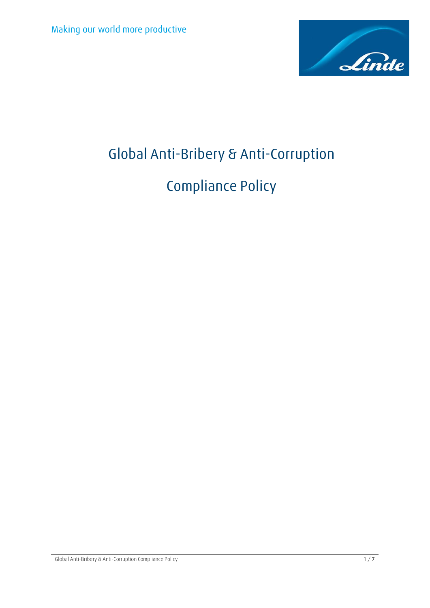

# **Global Anti-Bribery & Anti-Corruption**

# **Compliance Policy**

Global Anti-Bribery & Anti-Corruption Compliance Policy **1** / **7**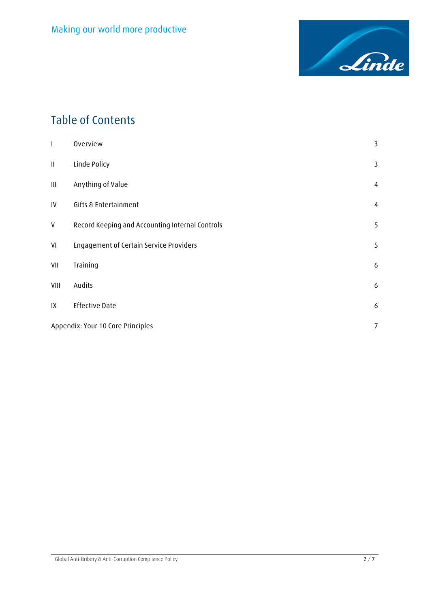

# **Table of Contents**

| I        | Overview                                        | 3              |
|----------|-------------------------------------------------|----------------|
| $\sf II$ | Linde Policy                                    | 3              |
| Ш        | Anything of Value                               | $\overline{4}$ |
| IV       | Gifts & Entertainment                           | $\overline{4}$ |
| V        | Record Keeping and Accounting Internal Controls | 5              |
| VI       | Engagement of Certain Service Providers         | 5              |
| VII      | Training                                        | 6              |
| VIII     | Audits                                          | 6              |
| IX       | <b>Effective Date</b>                           | 6              |
|          | Appendix: Your 10 Core Principles               |                |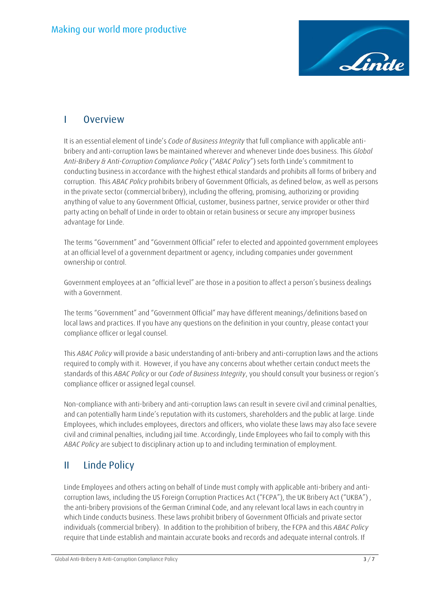

#### <span id="page-2-0"></span>**I Overview**

It is an essential element of Linde's *Code of Business Integrity* that full compliance with applicable antibribery and anti-corruption laws be maintained wherever and whenever Linde does business. This *Global Anti-Bribery & Anti-Corruption Compliance Policy* ("*ABAC Policy*") sets forth Linde's commitment to conducting business in accordance with the highest ethical standards and prohibits all forms of bribery and corruption. This *ABAC Policy* prohibits bribery of Government Officials, as defined below, as well as persons in the private sector (commercial bribery), including the offering, promising, authorizing or providing anything of value to any Government Official, customer, business partner, service provider or other third party acting on behalf of Linde in order to obtain or retain business or secure any improper business advantage for Linde.

The terms "Government" and "Government Official" refer to elected and appointed government employees at an official level of a government department or agency, including companies under government ownership or control.

Government employees at an "official level" are those in a position to affect a person's business dealings with a Government.

The terms "Government" and "Government Official" may have different meanings/definitions based on local laws and practices. If you have any questions on the definition in your country, please contact your compliance officer or legal counsel.

This *ABAC Policy* will provide a basic understanding of anti-bribery and anti-corruption laws and the actions required to comply with it. However, if you have any concerns about whether certain conduct meets the standards of this *ABAC Policy* or our *Code of Business Integrity*, you should consult your business or region's compliance officer or assigned legal counsel.

Non-compliance with anti-bribery and anti-corruption laws can result in severe civil and criminal penalties, and can potentially harm Linde's reputation with its customers, shareholders and the public at large. Linde Employees, which includes employees, directors and officers, who violate these laws may also face severe civil and criminal penalties, including jail time. Accordingly, Linde Employees who fail to comply with this *ABAC Policy* are subject to disciplinary action up to and including termination of employment.

## <span id="page-2-1"></span>**II Linde Policy**

Linde Employees and others acting on behalf of Linde must comply with applicable anti-bribery and anticorruption laws, including the US Foreign Corruption Practices Act ("FCPA"), the UK Bribery Act ("UKBA") , the anti-bribery provisions of the German Criminal Code, and any relevant local laws in each country in which Linde conducts business. These laws prohibit bribery of Government Officials and private sector individuals (commercial bribery). In addition to the prohibition of bribery, the FCPA and this *ABAC Policy* require that Linde establish and maintain accurate books and records and adequate internal controls. If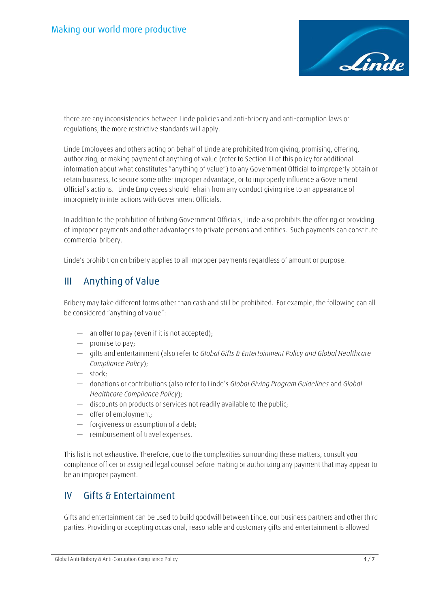

there are any inconsistencies between Linde policies and anti-bribery and anti-corruption laws or regulations, the more restrictive standards will apply.

Linde Employees and others acting on behalf of Linde are prohibited from giving, promising, offering, authorizing, or making payment of anything of value (refer to Section III of this policy for additional information about what constitutes "anything of value") to any Government Official to improperly obtain or retain business, to secure some other improper advantage, or to improperly influence a Government Official's actions. Linde Employees should refrain from any conduct giving rise to an appearance of impropriety in interactions with Government Officials.

In addition to the prohibition of bribing Government Officials, Linde also prohibits the offering or providing of improper payments and other advantages to private persons and entities. Such payments can constitute commercial bribery.

Linde's prohibition on bribery applies to all improper payments regardless of amount or purpose.

#### <span id="page-3-0"></span>**III Anything of Value**

Bribery may take different forms other than cash and still be prohibited. For example, the following can all be considered "anything of value":

- an offer to pay (even if it is not accepted);
- promise to pay;
- gifts and entertainment (also refer to *Global Gifts & Entertainment Policy and Global Healthcare Compliance Policy*);
- stock;
- donations or contributions (also refer to Linde's *Global Giving Program Guidelines* and *Global Healthcare Compliance Policy*);
- discounts on products or services not readily available to the public;
- offer of employment;
- forgiveness or assumption of a debt;
- reimbursement of travel expenses.

This list is not exhaustive. Therefore, due to the complexities surrounding these matters, consult your compliance officer or assigned legal counsel before making or authorizing any payment that may appear to be an improper payment.

#### <span id="page-3-1"></span>**IV Gifts & Entertainment**

Gifts and entertainment can be used to build goodwill between Linde, our business partners and other third parties. Providing or accepting occasional, reasonable and customary gifts and entertainment is allowed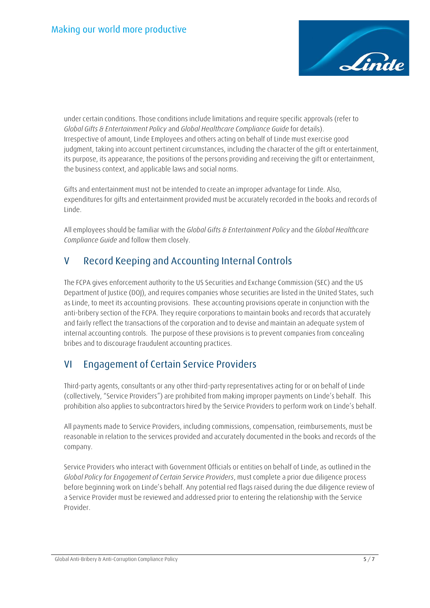

under certain conditions. Those conditions include limitations and require specific approvals (refer to *Global Gifts & Entertainment Policy* and *Global Healthcare Compliance Guide* for details). Irrespective of amount, Linde Employees and others acting on behalf of Linde must exercise good judgment, taking into account pertinent circumstances, including the character of the gift or entertainment, its purpose, its appearance, the positions of the persons providing and receiving the gift or entertainment, the business context, and applicable laws and social norms.

Gifts and entertainment must not be intended to create an improper advantage for Linde. Also, expenditures for gifts and entertainment provided must be accurately recorded in the books and records of Linde.

All employees should be familiar with the *Global Gifts & Entertainment Policy* and the *Global Healthcare Compliance Guide* and follow them closely.

## <span id="page-4-0"></span>**V Record Keeping and Accounting Internal Controls**

The FCPA gives enforcement authority to the US Securities and Exchange Commission (SEC) and the US Department of Justice (DOJ), and requires companies whose securities are listed in the United States, such as Linde, to meet its accounting provisions. These accounting provisions operate in conjunction with the anti-bribery section of the FCPA. They require corporations to maintain books and records that accurately and fairly reflect the transactions of the corporation and to devise and maintain an adequate system of internal accounting controls. The purpose of these provisions is to prevent companies from concealing bribes and to discourage fraudulent accounting practices.

## <span id="page-4-1"></span>**VI Engagement of Certain Service Providers**

Third-party agents, consultants or any other third-party representatives acting for or on behalf of Linde (collectively, "Service Providers") are prohibited from making improper payments on Linde's behalf. This prohibition also applies to subcontractors hired by the Service Providers to perform work on Linde's behalf.

All payments made to Service Providers, including commissions, compensation, reimbursements, must be reasonable in relation to the services provided and accurately documented in the books and records of the company.

Service Providers who interact with Government Officials or entities on behalf of Linde, as outlined in the *Global Policy for Engagement of Certain Service Providers*, must complete a prior due diligence process before beginning work on Linde's behalf. Any potential red flags raised during the due diligence review of a Service Provider must be reviewed and addressed prior to entering the relationship with the Service Provider.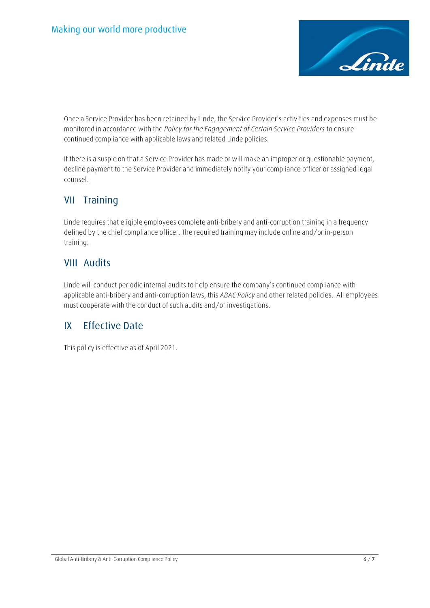

Once a Service Provider has been retained by Linde, the Service Provider's activities and expenses must be monitored in accordance with the *Policy for the Engagement of Certain Service Providers* to ensure continued compliance with applicable laws and related Linde policies.

If there is a suspicion that a Service Provider has made or will make an improper or questionable payment, decline payment to the Service Provider and immediately notify your compliance officer or assigned legal counsel.

#### <span id="page-5-0"></span>**VII Training**

Linde requires that eligible employees complete anti-bribery and anti-corruption training in a frequency defined by the chief compliance officer. The required training may include online and/or in-person training.

#### <span id="page-5-1"></span>**VIII Audits**

Linde will conduct periodic internal audits to help ensure the company's continued compliance with applicable anti-bribery and anti-corruption laws, this *ABAC Policy* and other related policies. All employees must cooperate with the conduct of such audits and/or investigations.

#### <span id="page-5-2"></span>**IX Effective Date**

This policy is effective as of April 2021.